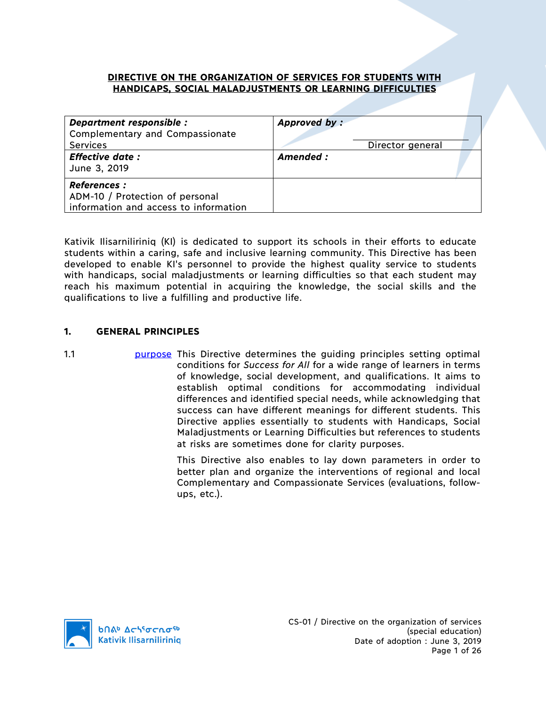## **DIRECTIVE ON THE ORGANIZATION OF SERVICES FOR STUDENTS WITH HANDICAPS, SOCIAL MALADJUSTMENTS OR LEARNING DIFFICULTIES**

| Department responsible :<br><b>Complementary and Compassionate</b><br><b>Services</b><br><b>Effective date:</b><br>June 3, 2019 | Approved by:<br>Director general<br>Amended : |
|---------------------------------------------------------------------------------------------------------------------------------|-----------------------------------------------|
| <b>References :</b><br>ADM-10 / Protection of personal<br>information and access to information                                 |                                               |

Kativik Ilisarniliriniq (KI) is dedicated to support its schools in their efforts to educate students within a caring, safe and inclusive learning community. This Directive has been developed to enable KI's personnel to provide the highest quality service to students with handicaps, social maladjustments or learning difficulties so that each student may reach his maximum potential in acquiring the knowledge, the social skills and the qualifications to live a fulfilling and productive life.

## **1. GENERAL PRINCIPLES**

1.1 **1.1 purpose This Directive determines the guiding principles setting optimal** conditions for *Success for All* for a wide range of learners in terms of knowledge, social development, and qualifications. It aims to establish optimal conditions for accommodating individual differences and identified special needs, while acknowledging that success can have different meanings for different students. This Directive applies essentially to students with Handicaps, Social Maladjustments or Learning Difficulties but references to students at risks are sometimes done for clarity purposes.

> This Directive also enables to lay down parameters in order to better plan and organize the interventions of regional and local Complementary and Compassionate Services (evaluations, followups, etc.).

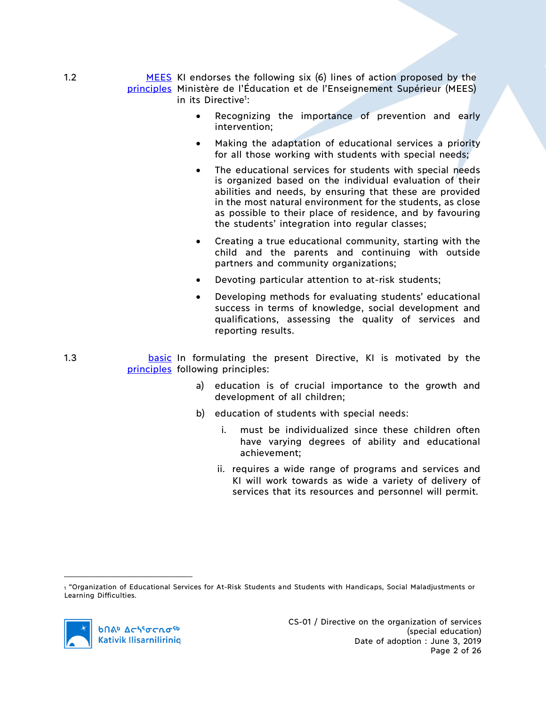1.2 **MEES** KI endorses the following six (6) lines of action proposed by the principles Ministère de l'Éducation et de l'Enseignement Supérieur (MEES) in its Directive<sup>1</sup>:

- Recognizing the importance of prevention and early intervention;
- Making the adaptation of educational services a priority for all those working with students with special needs;
- The educational services for students with special needs is organized based on the individual evaluation of their abilities and needs, by ensuring that these are provided in the most natural environment for the students, as close as possible to their place of residence, and by favouring the students' integration into regular classes;
- Creating a true educational community, starting with the child and the parents and continuing with outside partners and community organizations;
- Devoting particular attention to at-risk students;
- Developing methods for evaluating students' educational success in terms of knowledge, social development and qualifications, assessing the quality of services and reporting results.
- 1.3 **basic In formulating the present Directive, KI is motivated by the** principles following principles:
	- a) education is of crucial importance to the growth and development of all children;
	- b) education of students with special needs:
		- i. must be individualized since these children often have varying degrees of ability and educational achievement;
		- ii. requires a wide range of programs and services and KI will work towards as wide a variety of delivery of services that its resources and personnel will permit.

 $\overline{a}$ 

<sup>1</sup> "Organization of Educational Services for At-Risk Students and Students with Handicaps, Social Maladjustments or Learning Difficulties.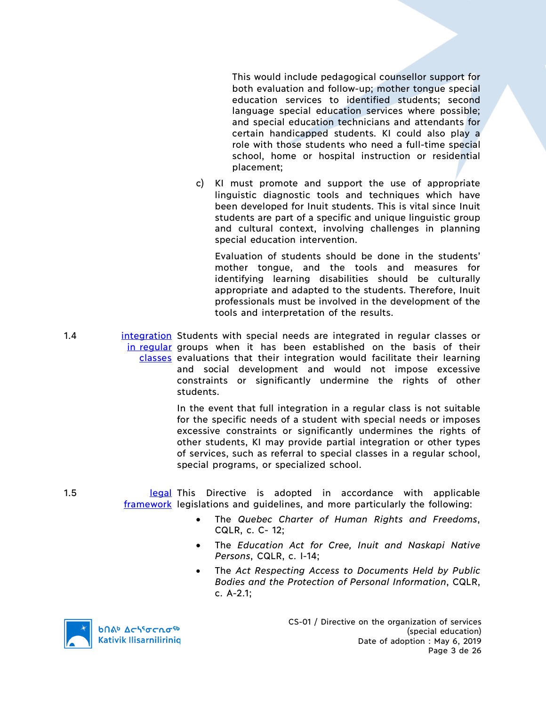This would include pedagogical counsellor support for both evaluation and follow-up; mother tongue special education services to identified students; second language special education services where possible; and special education technicians and attendants for certain handicapped students. KI could also play a role with those students who need a full-time special school, home or hospital instruction or residential placement;

c) KI must promote and support the use of appropriate linguistic diagnostic tools and techniques which have been developed for Inuit students. This is vital since Inuit students are part of a specific and unique linguistic group and cultural context, involving challenges in planning special education intervention.

Evaluation of students should be done in the students' mother tongue, and the tools and measures for identifying learning disabilities should be culturally appropriate and adapted to the students. Therefore, Inuit professionals must be involved in the development of the tools and interpretation of the results.

1.4 **integration** Students with special needs are integrated in regular classes or in regular groups when it has been established on the basis of their classes evaluations that their integration would facilitate their learning and social development and would not impose excessive constraints or significantly undermine the rights of other students.

> In the event that full integration in a regular class is not suitable for the specific needs of a student with special needs or imposes excessive constraints or significantly undermines the rights of other students, KI may provide partial integration or other types of services, such as referral to special classes in a regular school, special programs, or specialized school.

1.5 **1.5** legal This Directive is adopted in accordance with applicable framework legislations and guidelines, and more particularly the following:

- The *Quebec Charter of Human Rights and Freedoms*, CQLR, c. C- 12;
- The *Education Act for Cree, Inuit and Naskapi Native Persons*, CQLR, c. I-14;
- The *Act Respecting Access to Documents Held by Public Bodies and the Protection of Personal Information*, CQLR, c. A-2.1;

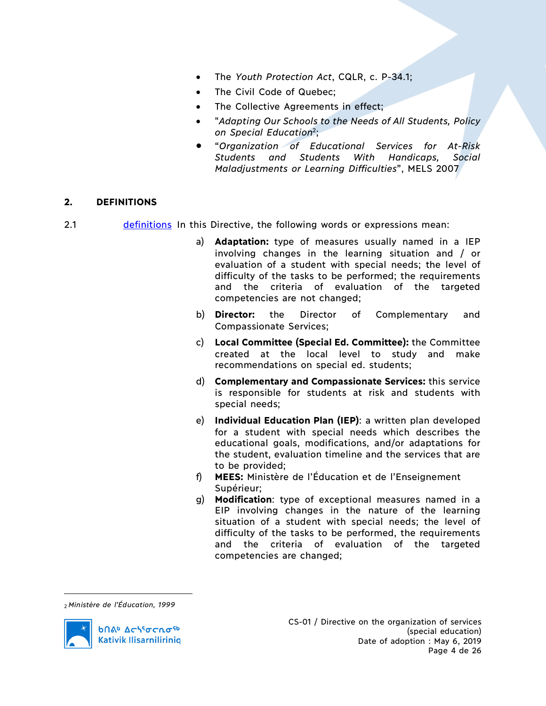- The *Youth Protection Act*, CQLR, c. P-34.1;
- The Civil Code of Quebec:
- The Collective Agreements in effect;
- "*Adapting Our Schools to the Needs of All Students, Policy on Special Education*2;
- "*Organization of Educational Services for At-Risk Students and Students With Handicaps, Social Maladjustments or Learning Difficulties*", MELS 2007

# **2. DEFINITIONS**

- 2.1 **definitions** In this Directive, the following words or expressions mean:
	- a) **Adaptation:** type of measures usually named in a IEP involving changes in the learning situation and / or evaluation of a student with special needs; the level of difficulty of the tasks to be performed; the requirements and the criteria of evaluation of the targeted competencies are not changed;
	- b) **Director:** the Director of Complementary and Compassionate Services;
	- c) **Local Committee (Special Ed. Committee):** the Committee created at the local level to study and make recommendations on special ed. students;
	- d) **Complementary and Compassionate Services:** this service is responsible for students at risk and students with special needs;
	- e) **Individual Education Plan (IEP)**: a written plan developed for a student with special needs which describes the educational goals, modifications, and/or adaptations for the student, evaluation timeline and the services that are to be provided;
	- f) **MEES:** Ministère de l'Éducation et de l'Enseignement Supérieur;
	- g) **Modification**: type of exceptional measures named in a EIP involving changes in the nature of the learning situation of a student with special needs; the level of difficulty of the tasks to be performed, the requirements and the criteria of evaluation of the targeted competencies are changed;

<sup>2</sup> *Ministère de l'Éducation, 1999*



 $\overline{a}$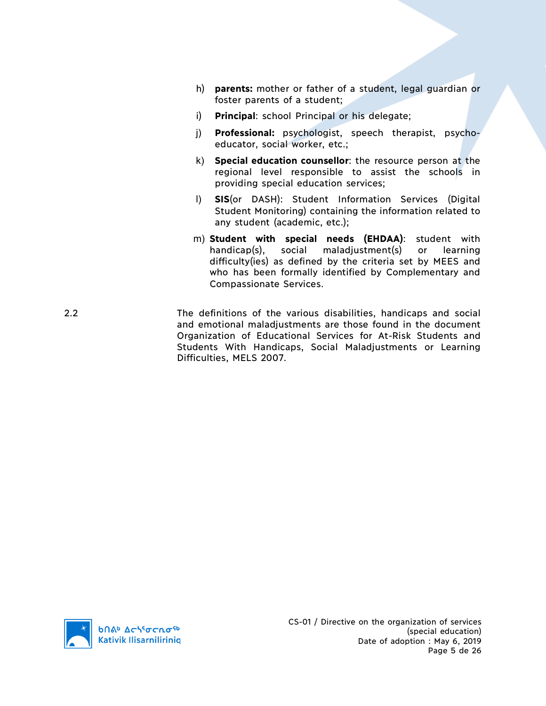- h) **parents:** mother or father of a student, legal guardian or foster parents of a student;
- i) **Principal**: school Principal or his delegate;
- j) **Professional:** psychologist, speech therapist, psychoeducator, social worker, etc.;
- k) **Special education counsellor**: the resource person at the regional level responsible to assist the schools in providing special education services;
- l) **SIS**(or DASH): Student Information Services (Digital Student Monitoring) containing the information related to any student (academic, etc.);
- m) **Student with special needs (EHDAA)**: student with handicap(s), social maladjustment(s) or learning difficulty(ies) as defined by the criteria set by MEES and who has been formally identified by Complementary and Compassionate Services.
- 2.2 The definitions of the various disabilities, handicaps and social and emotional maladjustments are those found in the document Organization of Educational Services for At-Risk Students and Students With Handicaps, Social Maladjustments or Learning Difficulties, MELS 2007.

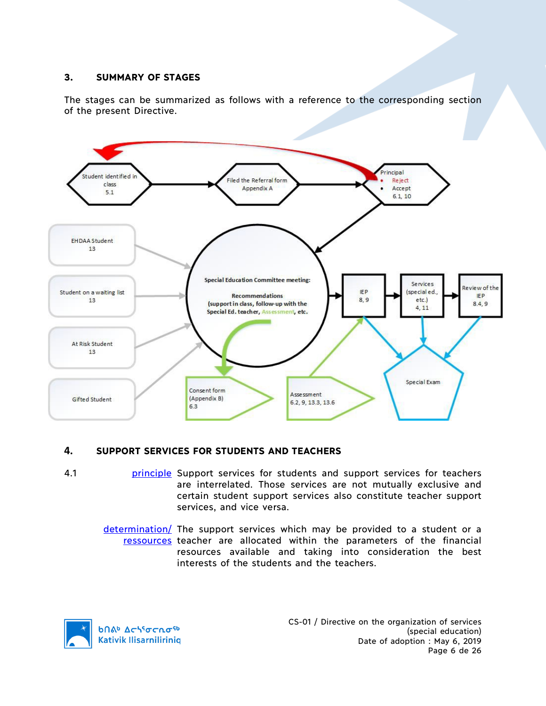# **3. SUMMARY OF STAGES**

The stages can be summarized as follows with a reference to the corresponding section of the present Directive.



# **4. SUPPORT SERVICES FOR STUDENTS AND TEACHERS**

- 4.1 **principle** Support services for students and support services for teachers are interrelated. Those services are not mutually exclusive and certain student support services also constitute teacher support services, and vice versa.
	- determination/ The support services which may be provided to a student or a ressources teacher are allocated within the parameters of the financial resources available and taking into consideration the best interests of the students and the teachers.

**b**Πል<sup>b</sup> Δςιγσς ησ<sup>ς 6</sup> **Kativik Ilisarnilirinig**  CS-01 / Directive on the organization of services (special education) Date of adoption : May 6, 2019 Page 6 de 26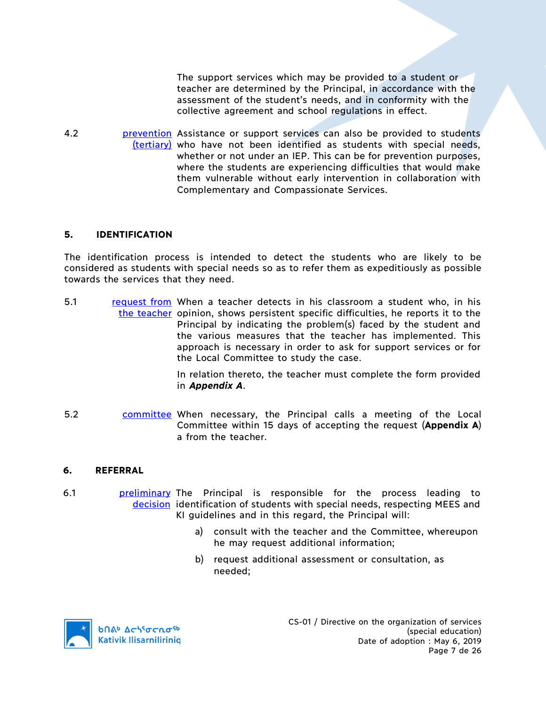The support services which may be provided to a student or teacher are determined by the Principal, in accordance with the assessment of the student's needs, and in conformity with the collective agreement and school regulations in effect.

4.2 **prevention** Assistance or support services can also be provided to students (tertiary) who have not been identified as students with special needs, whether or not under an IEP. This can be for prevention purposes, where the students are experiencing difficulties that would make them vulnerable without early intervention in collaboration with Complementary and Compassionate Services.

## **5. IDENTIFICATION**

The identification process is intended to detect the students who are likely to be considered as students with special needs so as to refer them as expeditiously as possible towards the services that they need.

5.1 request from When a teacher detects in his classroom a student who, in his the teacher opinion, shows persistent specific difficulties, he reports it to the Principal by indicating the problem(s) faced by the student and the various measures that the teacher has implemented. This approach is necessary in order to ask for support services or for the Local Committee to study the case.

> In relation thereto, the teacher must complete the form provided in *Appendix A*.

5.2 **committee When necessary, the Principal calls a meeting of the Local** Committee within 15 days of accepting the request (**Appendix A**) a from the teacher.

#### **6. REFERRAL**

- 6.1 **preliminary The Principal is responsible for the process leading to** decision identification of students with special needs, respecting MEES and KI guidelines and in this regard, the Principal will:
	- a) consult with the teacher and the Committee, whereupon he may request additional information;
	- b) request additional assessment or consultation, as needed;

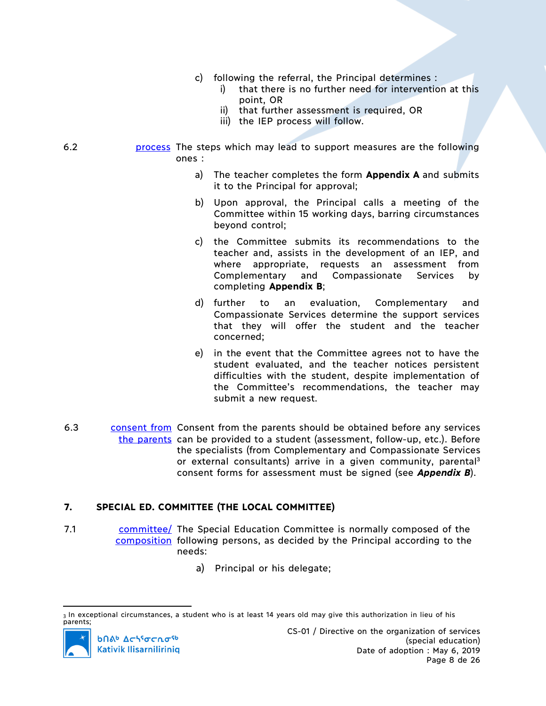- c) following the referral, the Principal determines :
	- i) that there is no further need for intervention at this point, OR
	- ii) that further assessment is required, OR
	- iii) the IEP process will follow.
- 6.2 **process** The steps which may lead to support measures are the following ones :
	- a) The teacher completes the form **Appendix A** and submits it to the Principal for approval;
	- b) Upon approval, the Principal calls a meeting of the Committee within 15 working days, barring circumstances beyond control;
	- c) the Committee submits its recommendations to the teacher and, assists in the development of an IEP, and where appropriate, requests an assessment from Complementary and Compassionate Services by completing **Appendix B**;
	- d) further to an evaluation, Complementary and Compassionate Services determine the support services that they will offer the student and the teacher concerned;
	- e) in the event that the Committee agrees not to have the student evaluated, and the teacher notices persistent difficulties with the student, despite implementation of the Committee's recommendations, the teacher may submit a new request.
- 6.3 consent from Consent from the parents should be obtained before any services the parents can be provided to a student (assessment, follow-up, etc.). Before the specialists (from Complementary and Compassionate Services or external consultants) arrive in a given community, parental<sup>3</sup> consent forms for assessment must be signed (see *Appendix B*).

# **7. SPECIAL ED. COMMITTEE (THE LOCAL COMMITTEE)**

- 7.1 committee/ The Special Education Committee is normally composed of the composition following persons, as decided by the Principal according to the needs:
	- a) Principal or his delegate;

<sup>3</sup> In exceptional circumstances, a student who is at least 14 years old may give this authorization in lieu of his parents;

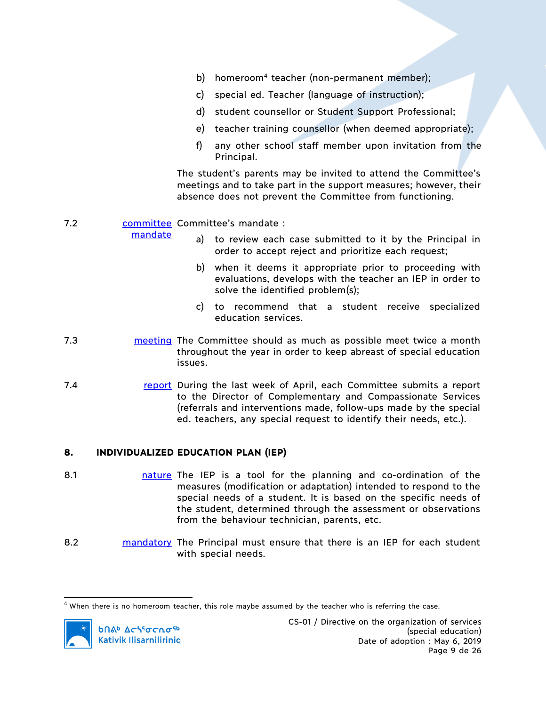- b) homeroom<sup>4</sup> teacher (non-permanent member);
- c) special ed. Teacher (language of instruction);
- d) student counsellor or Student Support Professional;
- e) teacher training counsellor (when deemed appropriate);
- f) any other school staff member upon invitation from the Principal.

The student's parents may be invited to attend the Committee's meetings and to take part in the support measures; however, their absence does not prevent the Committee from functioning.

# 7.2 **committee Committee's mandate :**

mandate

- a) to review each case submitted to it by the Principal in order to accept reject and prioritize each request;
- b) when it deems it appropriate prior to proceeding with evaluations, develops with the teacher an IEP in order to solve the identified problem(s);
- c) to recommend that a student receive specialized education services.
- 7.3 **The Markt Markt Example 2.5 meeting** The Committee should as much as possible meet twice a month throughout the year in order to keep abreast of special education issues.
- 7.4 report During the last week of April, each Committee submits a report to the Director of Complementary and Compassionate Services (referrals and interventions made, follow-ups made by the special ed. teachers, any special request to identify their needs, etc.).

# **8. INDIVIDUALIZED EDUCATION PLAN (IEP)**

- 8.1 **nature The IEP** is a tool for the planning and co-ordination of the measures (modification or adaptation) intended to respond to the special needs of a student. It is based on the specific needs of the student, determined through the assessment or observations from the behaviour technician, parents, etc.
- 8.2 mandatory The Principal must ensure that there is an IEP for each student with special needs.

 $<sup>4</sup>$  When there is no homeroom teacher, this role maybe assumed by the teacher who is referring the case.</sup>

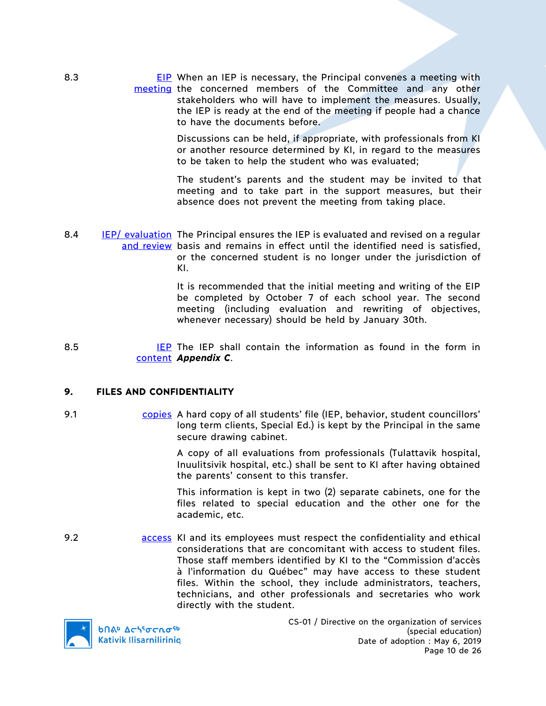8.3 **EIP** When an IEP is necessary, the Principal convenes a meeting with meeting the concerned members of the Committee and any other stakeholders who will have to implement the measures. Usually, the IEP is ready at the end of the meeting if people had a chance to have the documents before.

> Discussions can be held, if appropriate, with professionals from KI or another resource determined by KI, in regard to the measures to be taken to help the student who was evaluated;

> The student's parents and the student may be invited to that meeting and to take part in the support measures, but their absence does not prevent the meeting from taking place.

8.4 **IEP/** evaluation The Principal ensures the IEP is evaluated and revised on a regular and review basis and remains in effect until the identified need is satisfied, or the concerned student is no longer under the jurisdiction of KI.

> It is recommended that the initial meeting and writing of the EIP be completed by October 7 of each school year. The second meeting (including evaluation and rewriting of objectives, whenever necessary) should be held by January 30th.

 $8.5$ content *Appendix C*. **IEP** The IEP shall contain the information as found in the form in

#### **9. FILES AND CONFIDENTIALITY**

9.1 **copies** A hard copy of all students' file (IEP, behavior, student councillors' long term clients, Special Ed.) is kept by the Principal in the same secure drawing cabinet.

> A copy of all evaluations from professionals (Tulattavik hospital, Inuulitsivik hospital, etc.) shall be sent to KI after having obtained the parents' consent to this transfer.

> This information is kept in two (2) separate cabinets, one for the files related to special education and the other one for the academic, etc.

9.2 access KI and its employees must respect the confidentiality and ethical considerations that are concomitant with access to student files. Those staff members identified by KI to the "Commission d'accès à l'information du Québec" may have access to these student files. Within the school, they include administrators, teachers, technicians, and other professionals and secretaries who work directly with the student.



CS-01 / Directive on the organization of services (special education) Date of adoption : May 6, 2019 Page 10 de 26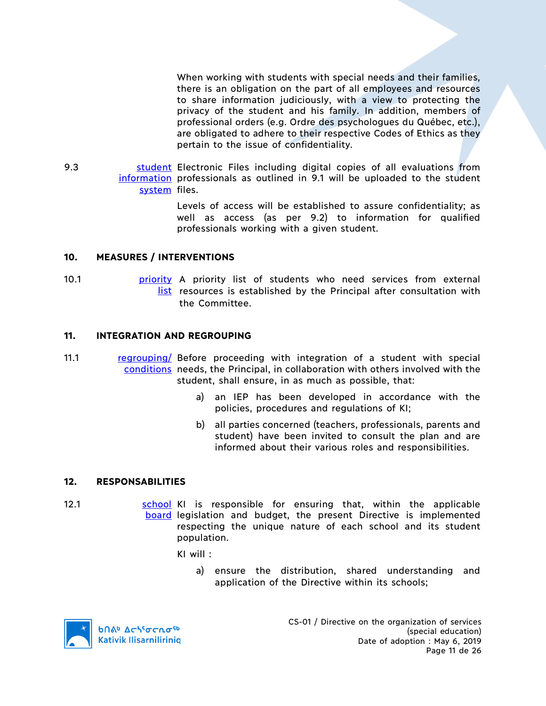When working with students with special needs and their families, there is an obligation on the part of all employees and resources to share information judiciously, with a view to protecting the privacy of the student and his family. In addition, members of professional orders (e.g. Ordre des psychologues du Québec, etc.), are obligated to adhere to their respective Codes of Ethics as they pertain to the issue of confidentiality.

9.3 **Student Electronic Files including digital copies of all evaluations from** information professionals as outlined in 9.1 will be uploaded to the student system files.

> Levels of access will be established to assure confidentiality; as well as access (as per 9.2) to information for qualified professionals working with a given student.

## **10. MEASURES / INTERVENTIONS**

10.1 **priority** A priority list of students who need services from external list resources is established by the Principal after consultation with the Committee.

## **11. INTEGRATION AND REGROUPING**

- 11.1 regrouping/ Before proceeding with integration of a student with special conditions needs, the Principal, in collaboration with others involved with the student, shall ensure, in as much as possible, that:
	- a) an IEP has been developed in accordance with the policies, procedures and regulations of KI;
	- b) all parties concerned (teachers, professionals, parents and student) have been invited to consult the plan and are informed about their various roles and responsibilities.

#### **12. RESPONSABILITIES**

12.1 **Source Interelata Construct** School KI is responsible for ensuring that, within the applicable board legislation and budget, the present Directive is implemented respecting the unique nature of each school and its student population.

KI will :

a) ensure the distribution, shared understanding and application of the Directive within its schools;

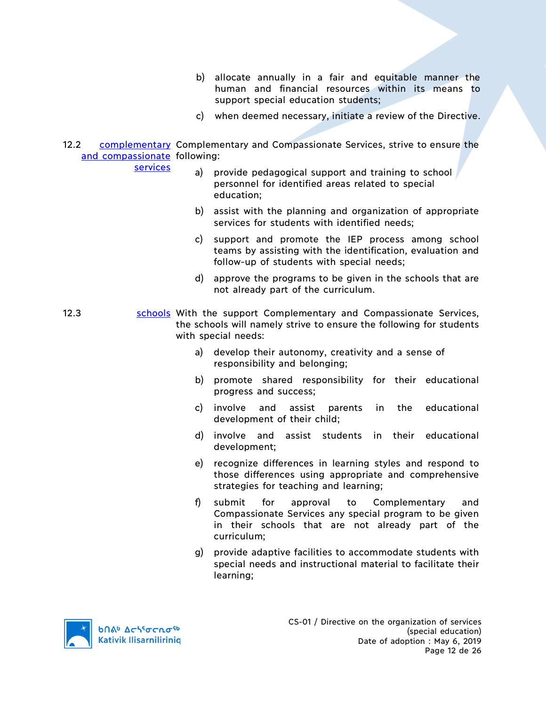- b) allocate annually in a fair and equitable manner the human and financial resources within its means to support special education students;
- c) when deemed necessary, initiate a review of the Directive.
- 12.2 complementary Complementary and Compassionate Services, strive to ensure the and compassionate following:

services

- a) provide pedagogical support and training to school personnel for identified areas related to special education;
- b) assist with the planning and organization of appropriate services for students with identified needs;
- c) support and promote the IEP process among school teams by assisting with the identification, evaluation and follow-up of students with special needs;
- d) approve the programs to be given in the schools that are not already part of the curriculum.
- 12.3 schools With the support Complementary and Compassionate Services, the schools will namely strive to ensure the following for students with special needs:
	- a) develop their autonomy, creativity and a sense of responsibility and belonging;
	- b) promote shared responsibility for their educational progress and success;
	- c) involve and assist parents in the educational development of their child;
	- d) involve and assist students in their educational development;
	- e) recognize differences in learning styles and respond to those differences using appropriate and comprehensive strategies for teaching and learning;
	- f) submit for approval to Complementary and Compassionate Services any special program to be given in their schools that are not already part of the curriculum;
	- g) provide adaptive facilities to accommodate students with special needs and instructional material to facilitate their learning;

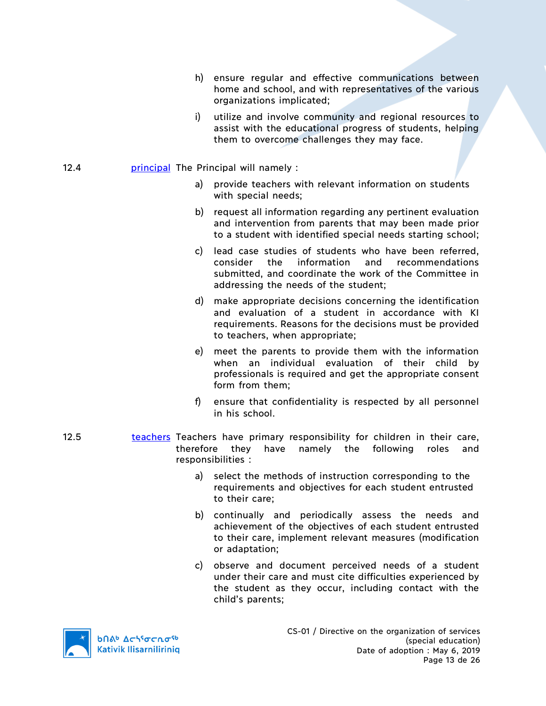- h) ensure regular and effective communications between home and school, and with representatives of the various organizations implicated;
- i) utilize and involve community and regional resources to assist with the educational progress of students, helping them to overcome challenges they may face.

## 12.4 **principal** The Principal will namely :

- a) provide teachers with relevant information on students with special needs;
- b) request all information regarding any pertinent evaluation and intervention from parents that may been made prior to a student with identified special needs starting school;
- c) lead case studies of students who have been referred, consider the information and recommendations submitted, and coordinate the work of the Committee in addressing the needs of the student;
- d) make appropriate decisions concerning the identification and evaluation of a student in accordance with KI requirements. Reasons for the decisions must be provided to teachers, when appropriate;
- e) meet the parents to provide them with the information when an individual evaluation of their child by professionals is required and get the appropriate consent form from them;
- f) ensure that confidentiality is respected by all personnel in his school.
- 12.5 teachers Teachers have primary responsibility for children in their care, therefore they have namely the following roles and responsibilities :
	- a) select the methods of instruction corresponding to the requirements and objectives for each student entrusted to their care;
	- b) continually and periodically assess the needs and achievement of the objectives of each student entrusted to their care, implement relevant measures (modification or adaptation;
	- c) observe and document perceived needs of a student under their care and must cite difficulties experienced by the student as they occur, including contact with the child's parents;

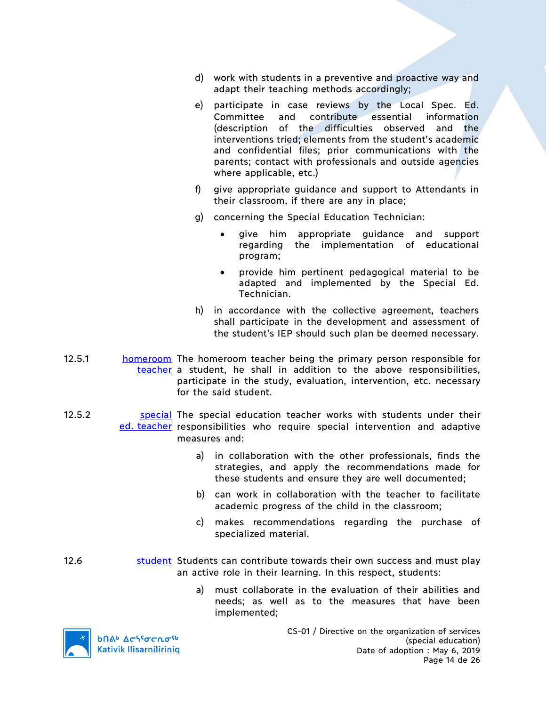- d) work with students in a preventive and proactive way and adapt their teaching methods accordingly;
- e) participate in case reviews by the Local Spec. Ed. Committee and contribute essential information (description of the difficulties observed and the interventions tried; elements from the student's academic and confidential files; prior communications with the parents; contact with professionals and outside agencies where applicable, etc.)
- f) give appropriate guidance and support to Attendants in their classroom, if there are any in place;
- g) concerning the Special Education Technician:
	- give him appropriate guidance and support regarding the implementation of educational program;
	- provide him pertinent pedagogical material to be adapted and implemented by the Special Ed. Technician.
- h) in accordance with the collective agreement, teachers shall participate in the development and assessment of the student's IEP should such plan be deemed necessary.
- 12.5.1 **homeroom** The homeroom teacher being the primary person responsible for teacher a student, he shall in addition to the above responsibilities, participate in the study, evaluation, intervention, etc. necessary for the said student.
- 12.5.2 Special The special education teacher works with students under their ed. teacher responsibilities who require special intervention and adaptive measures and:
	- a) in collaboration with the other professionals, finds the strategies, and apply the recommendations made for these students and ensure they are well documented;
	- b) can work in collaboration with the teacher to facilitate academic progress of the child in the classroom;
	- c) makes recommendations regarding the purchase of specialized material.
- 12.6 **student Students can contribute towards their own success and must play** an active role in their learning. In this respect, students:
	- a) must collaborate in the evaluation of their abilities and needs; as well as to the measures that have been implemented;

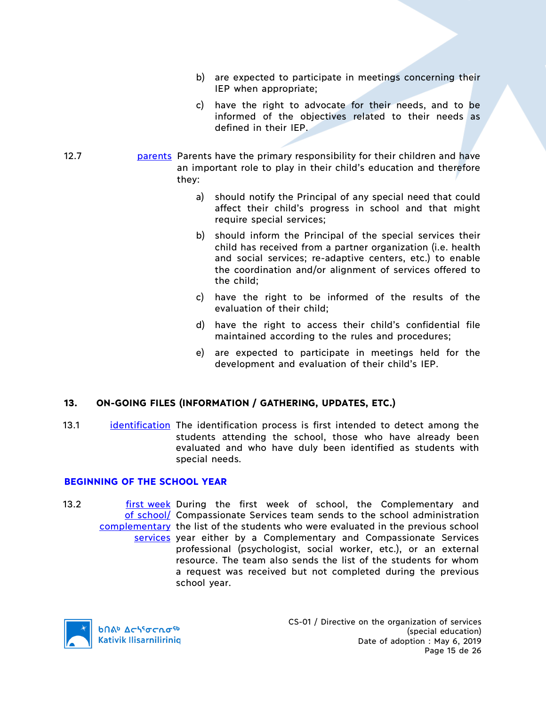- b) are expected to participate in meetings concerning their IEP when appropriate;
- c) have the right to advocate for their needs, and to be informed of the objectives related to their needs as defined in their IEP.
- 12.7 **parents** Parents have the primary responsibility for their children and have an important role to play in their child's education and therefore they:
	- a) should notify the Principal of any special need that could affect their child's progress in school and that might require special services;
	- b) should inform the Principal of the special services their child has received from a partner organization (i.e. health and social services; re-adaptive centers, etc.) to enable the coordination and/or alignment of services offered to the child;
	- c) have the right to be informed of the results of the evaluation of their child;
	- d) have the right to access their child's confidential file maintained according to the rules and procedures;
	- e) are expected to participate in meetings held for the development and evaluation of their child's IEP.

# **13. ON-GOING FILES (INFORMATION / GATHERING, UPDATES, ETC.)**

13.1 identification The identification process is first intended to detect among the students attending the school, those who have already been evaluated and who have duly been identified as students with special needs.

# **BEGINNING OF THE SCHOOL YEAR**

13.2 **first week During the first week of school, the Complementary and** of school/ Compassionate Services team sends to the school administration complementary the list of the students who were evaluated in the previous school services year either by a Complementary and Compassionate Services professional (psychologist, social worker, etc.), or an external resource. The team also sends the list of the students for whom a request was received but not completed during the previous school year.

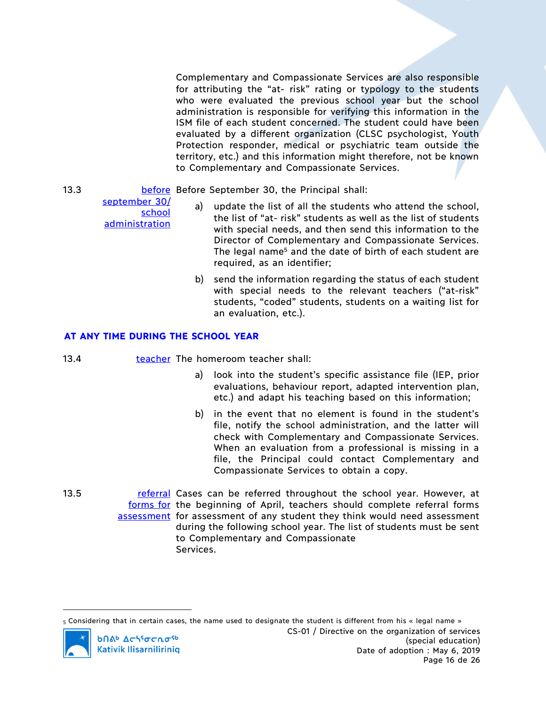Complementary and Compassionate Services are also responsible for attributing the "at- risk" rating or typology to the students who were evaluated the previous school year but the school administration is responsible for verifying this information in the ISM file of each student concerned. The student could have been evaluated by a different organization (CLSC psychologist, Youth Protection responder, medical or psychiatric team outside the territory, etc.) and this information might therefore, not be known to Complementary and Compassionate Services.

13.3 **before** Before September 30, the Principal shall:

- a) update the list of all the students who attend the school, the list of "at- risk" students as well as the list of students with special needs, and then send this information to the Director of Complementary and Compassionate Services. The legal name<sup>5</sup> and the date of birth of each student are required, as an identifier;
- b) send the information regarding the status of each student with special needs to the relevant teachers ("at-risk" students, "coded" students, students on a waiting list for an evaluation, etc.).

# **AT ANY TIME DURING THE SCHOOL YEAR**

- 13.4 **teacher The homeroom teacher shall:** 
	- a) look into the student's specific assistance file (IEP, prior evaluations, behaviour report, adapted intervention plan, etc.) and adapt his teaching based on this information;
	- b) in the event that no element is found in the student's file, notify the school administration, and the latter will check with Complementary and Compassionate Services. When an evaluation from a professional is missing in a file, the Principal could contact Complementary and Compassionate Services to obtain a copy.
- 13.5 **referral Cases can be referred throughout the school year. However, at** forms for the beginning of April, teachers should complete referral forms assessment for assessment of any student they think would need assessment during the following school year. The list of students must be sent to Complementary and Compassionate Services.

 $_5$  Considering that in certain cases, the name used to designate the student is different from his « legal name » CS-01 / Directive on the organization of services **b**nab Achiocnosb (special education) **Kativik Ilisarniliriniq** Date of adoption : May 6, 2019 Page 16 de 26

september 30/ school **administration** 

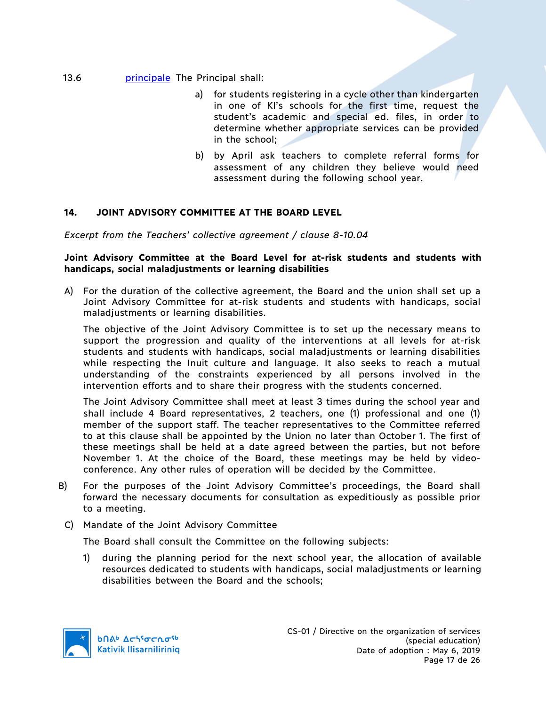## 13.6 **principale** The Principal shall:

- a) for students registering in a cycle other than kindergarten in one of KI's schools for the first time, request the student's academic and special ed. files, in order to determine whether appropriate services can be provided in the school;
- b) by April ask teachers to complete referral forms for assessment of any children they believe would need assessment during the following school year.

# **14. JOINT ADVISORY COMMITTEE AT THE BOARD LEVEL**

*Excerpt from the Teachers' collective agreement / clause 8-10.04*

#### **Joint Advisory Committee at the Board Level for at-risk students and students with handicaps, social maladjustments or learning disabilities**

A) For the duration of the collective agreement, the Board and the union shall set up a Joint Advisory Committee for at-risk students and students with handicaps, social maladjustments or learning disabilities.

The objective of the Joint Advisory Committee is to set up the necessary means to support the progression and quality of the interventions at all levels for at-risk students and students with handicaps, social maladjustments or learning disabilities while respecting the Inuit culture and language. It also seeks to reach a mutual understanding of the constraints experienced by all persons involved in the intervention efforts and to share their progress with the students concerned.

The Joint Advisory Committee shall meet at least 3 times during the school year and shall include 4 Board representatives, 2 teachers, one (1) professional and one (1) member of the support staff. The teacher representatives to the Committee referred to at this clause shall be appointed by the Union no later than October 1. The first of these meetings shall be held at a date agreed between the parties, but not before November 1. At the choice of the Board, these meetings may be held by videoconference. Any other rules of operation will be decided by the Committee.

B) For the purposes of the Joint Advisory Committee's proceedings, the Board shall forward the necessary documents for consultation as expeditiously as possible prior to a meeting.

#### C) Mandate of the Joint Advisory Committee

The Board shall consult the Committee on the following subjects:

1) during the planning period for the next school year, the allocation of available resources dedicated to students with handicaps, social maladjustments or learning disabilities between the Board and the schools;

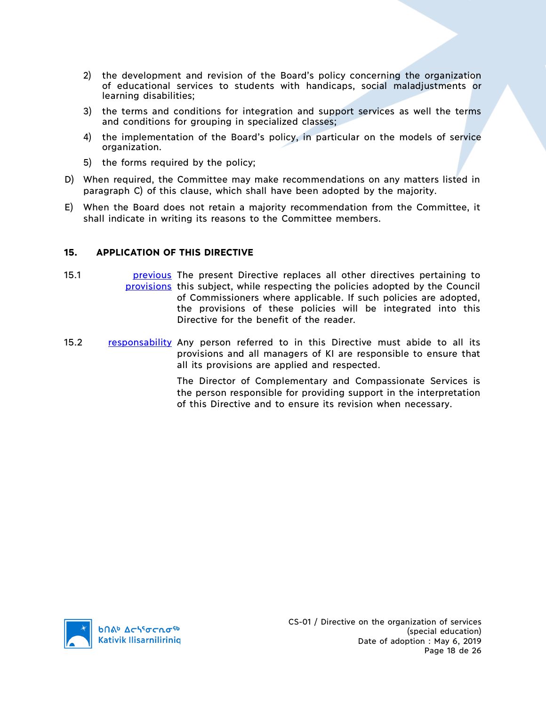- 2) the development and revision of the Board's policy concerning the organization of educational services to students with handicaps, social maladjustments or learning disabilities;
- 3) the terms and conditions for integration and support services as well the terms and conditions for grouping in specialized classes;
- 4) the implementation of the Board's policy, in particular on the models of service organization.
- 5) the forms required by the policy;
- D) When required, the Committee may make recommendations on any matters listed in paragraph C) of this clause, which shall have been adopted by the majority.
- E) When the Board does not retain a majority recommendation from the Committee, it shall indicate in writing its reasons to the Committee members.

# **15. APPLICATION OF THIS DIRECTIVE**

- 15.1 **previous** The present Directive replaces all other directives pertaining to provisions this subject, while respecting the policies adopted by the Council of Commissioners where applicable. If such policies are adopted, the provisions of these policies will be integrated into this Directive for the benefit of the reader.
- 15.2 responsability Any person referred to in this Directive must abide to all its provisions and all managers of KI are responsible to ensure that all its provisions are applied and respected.

The Director of Complementary and Compassionate Services is the person responsible for providing support in the interpretation of this Directive and to ensure its revision when necessary.

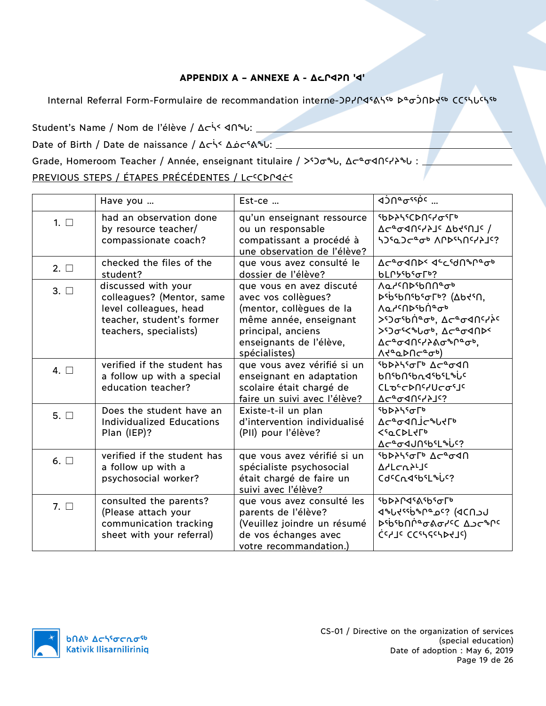# **APPENDIX A – ANNEXE A - ᐃᓚᒋᐊᕈᑎ 'ᐊ'**

Internal Referral Form-Formulaire de recommandation interne-ᑐᑭᓯᒋᐊᕐᕕᓴᖅ ᐅᓐᓂᑑᑎᐅᔪᖅ ᑕᑕᕐᓴᒐᑦᓴᖅ

Student's Name / Nom de l'élève / Δ τίς 4 Π θυ:

Date of Birth / Date de naissance / ᐃᓕᓵᑉ ᐃᓅᓕᕐᕕᖓ:

Grade, Homeroom Teacher / Année, enseignant titulaire / >50σθ , Δσεσ</a>σ</a>

# PREVIOUS STEPS / ÉTAPES PRÉCÉDENTES / LCCOPIACO

|              | Have you                                                                                                                          | $Est-ce$                                                                                                                                                                | √JU& <sup>22</sup> 0' ‴                                                                                                                                                                                                                                                                                                        |
|--------------|-----------------------------------------------------------------------------------------------------------------------------------|-------------------------------------------------------------------------------------------------------------------------------------------------------------------------|--------------------------------------------------------------------------------------------------------------------------------------------------------------------------------------------------------------------------------------------------------------------------------------------------------------------------------|
| $1. \Box$    | had an observation done<br>by resource teacher/<br>compassionate coach?                                                           | qu'un enseignant ressource<br>ou un responsable<br>compatissant a procédé à<br>une observation de l'élève?                                                              | ᠂ჼႦϷჂϞჼႠϷႶჼჄჾჼ୮ჼ<br>$\sqrt{2}C_{\sigma}$ 4Uchtic $\sqrt{2}C_{\sigma}$<br>ነጋናوጋሮ°ሚ ለቦኦናነበናሃ}]ና?                                                                                                                                                                                                                                 |
| $2. \Box$    | checked the files of the<br>student?                                                                                              | que vous avez consulté le<br>dossier de l'élève?                                                                                                                        | <b>Δ</b> σ <sup>α</sup> σ4በÞ< 4 <sup>c</sup> csdበზቦªσþ<br><b>bLՐ</b> <i>Ի</i> <sup>6</sup> ან Гხ?                                                                                                                                                                                                                              |
| $3. \Box$    | discussed with your<br>colleagues? (Mentor, same<br>level colleagues, head<br>teacher, student's former<br>teachers, specialists) | que vous en avez discuté<br>avec vos collègues?<br>(mentor, collègues de la<br>même année, enseignant<br>principal, anciens<br>enseignants de l'élève,<br>spécialistes) | Λα <sup>ις</sup> Πρ <sup>ε</sup> ρηπ <sup>ο</sup> σ <sup>6</sup><br>DSP29161950Lp3 (VPSP41<br><u>ΛαΥ<sup>ς</sup>Π</u> Σερή®σβ<br>> <sup>ς</sup> Σο <sup>ς</sup> δή <sup>α</sup> ση, Δς ασαπιγλι<br>> <sup>5</sup> )σες θυσ <sup>6</sup> , Δς ασ4ΠΡς<br>Δ⊂ <sup>α</sup> σ⊲በ <sup>ር</sup> /}ልσ <sup>ኈ</sup> ቦªσþ,<br>V4°¤DUC°0p) |
| 4. $\square$ | verified if the student has<br>a follow up with a special<br>education teacher?                                                   | que vous avez vérifié si un<br>enseignant en adaptation<br>scolaire était chargé de<br>faire un suivi avec l'élève?                                                     | <b>SPASSOF ACAGAN</b><br><b>b</b> Ո <sup>ς</sup> bՈ <sup>ς</sup> bդ<1ςb۲L%U <sup>c</sup><br>CLOCCDUCYUCOSJC<br><b>7C<sub>o</sub>QUc151c3</b>                                                                                                                                                                                   |
| $5. \Box$    | Does the student have an<br><b>Individualized Educations</b><br>Plan (IEP)?                                                       | Existe-t-il un plan<br>d'intervention individualisé<br>(PII) pour l'élève?                                                                                              | <b><i>SbDAS6Fb</i></b><br>ACª04NJCªUYLb<br><b><sqcdltfd< b=""><br/>Δς<sup>α</sup>σ4JN \$ι<sup>ς</sup>?</sqcdltfd<></b>                                                                                                                                                                                                         |
| 6. $\Box$    | verified if the student has<br>a follow up with a<br>psychosocial worker?                                                         | que vous avez vérifié si un<br>spécialiste psychosocial<br>était chargé de faire un<br>suivi avec l'élève?                                                              | የ <sub>b</sub> >ን <sup>ላ</sup> ም ላ <sup>1</sup> ናላ<br><b>A</b> dLCU <sub>2</sub> rJ <sub>C</sub><br>Cd <sup>c</sup> CndsbsL <sup>\$6</sup>                                                                                                                                                                                     |
| 7. $\Box$    | consulted the parents?<br>(Please attach your<br>communication tracking<br>sheet with your referral)                              | que vous avez consulté les<br>parents de l'élève?<br>(Veuillez joindre un résumé<br>de vos échanges avec<br>votre recommandation.)                                      | ჼႦϷჂႶჃჼልჼႦჼჾ୮ჼ<br>לייליאיפיף (פכחשלי<br><b><i>D</i></b> spaplyed Jorble<br>כִּנְאוֹב כְּכֵיּאֲלְכִּיאֲבָעוֹל)                                                                                                                                                                                                                  |



CS-01 / Directive on the organization of services (special education) Date of adoption : May 6, 2019 Page 19 de 26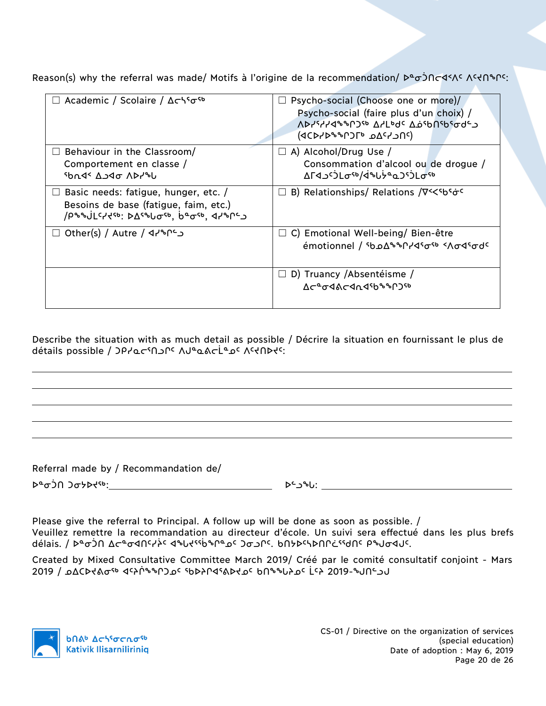Reason(s) why the referral was made/ Motifs à l'origine de la recommendation/ Deojncos Astenson:

| Academic / Scolaire / Δςλεσε                   | Psycho-social (Choose one or more)/                                                        |
|------------------------------------------------|--------------------------------------------------------------------------------------------|
|                                                | Psycho-social (faire plus d'un choix) /                                                    |
|                                                |                                                                                            |
|                                                | <b>ΔΡΙΑΙΑΡΟΛΑ ΔΑΓΑΡΟ ΤΟ ΠΟΙΡΟΔΟΛ</b>                                                       |
|                                                | (טוכליאם 16טיישראס)                                                                        |
| Behaviour in the Classroom/                    | $\Box$ A) Alcohol/Drug Use /                                                               |
| Comportement en classe /                       | Consommation d'alcool ou de drogue /                                                       |
|                                                | ΔΓ <i>Ϥ</i> ͺͻ <sup>ϲ</sup> ϽԼσ <sup>ςϧ</sup> /ϤʹʹϧͿϟ <sup>ͼ</sup> ϙϽϚϽͿϲͳ <sup>ϛϧ</sup>   |
| ין אין ס4כ                                     |                                                                                            |
| Basic needs: fatigue, hunger, etc. /<br>$\Box$ | $\Box$ B) Relationships/ Relations / $\nabla$ << so so set of $\circ$                      |
| Besoins de base (fatigue, faim, etc.)          |                                                                                            |
| /ρηηύ[cztsp: basallate, beasp, dzqlc           |                                                                                            |
|                                                |                                                                                            |
| C+^+^+ Other(s) / Autre / ۹۲<br>ш              | $\Box$ C) Emotional Well-being/Bien-être                                                   |
|                                                | <u>emotionnel</u> / <sup>‹</sup> ხჲ∆ <sup>ዔ</sup> ᲖՐነଏˤơ <sup>‹</sup> ‹Λσ√ˤσժ <sup>c</sup> |
|                                                |                                                                                            |
|                                                |                                                                                            |
|                                                | $\Box$ D) Truancy /Absentéisme /                                                           |
|                                                | <u> ለඋያውላልሮፈ</u> ካፈሪያዎ <sub>ች</sub> ቦጋም                                                    |
|                                                |                                                                                            |
|                                                |                                                                                            |

Describe the situation with as much detail as possible / Décrire la situation en fournissant le plus de détails possible / JPJQCSO JPC *NJ*ºQ&CLº <sub>J</sub>C *NSQ*HIS

Referral made by / Recommandation de/

ᐅᓐᓂᑑᑎ ᑐᓂᔭᐅᔪᖅ: ᐅᓪᓗᖓ:

Please give the referral to Principal. A follow up will be done as soon as possible. / Veuillez remettre la recommandation au directeur d'école. Un suivi sera effectué dans les plus brefs délais. / דיכשר Δכ®סטאָלי לשטלילאָ פּיסֿרי סאַרי. אויגן איירער איירער איירער איירער איירער איירער.

Created by Mixed Consultative Committee March 2019/ Créé par le comité consultatif conjoint - Mars 2019 / ᓄᐃᑕᐅᔪᕕᓂᖅ ᐊᑦᔨᒌᖕᖏᑐᓄᑦ ᖃᐅᔨᒋᐊᕐᕕᐅᔪᓄᑦ ᑲᑎᖕᖓᔨᓄᑦ ᒫᑦᔨ 2019-ᖑᑎᓪᓗᒍ

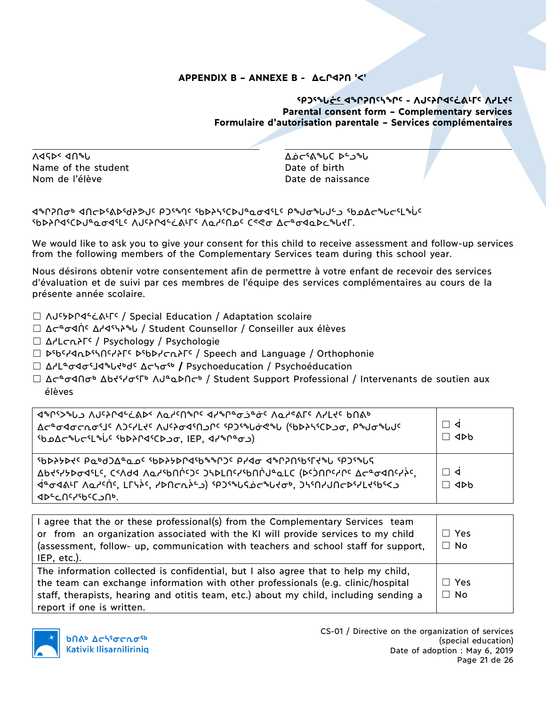# **APPENDIX B – ANNEXE B - ᐃᓚᒋᐊᕈᑎ 'ᐸ'**

# **ᕐᑭᑐᕐᖓᓖᑦ ᐊᖏᕈᑎᑦᓴᖏᑦ - ᐱᒍᑦᔨᒋᐊᑦᓛᕕᒻᒥᑦ ᐱᓯᒪᔪᑦ Parental consent form – Complementary services Formulaire d'autorisation parentale – Services complémentaires**

ᐱᐊᕋᐅᑉ ᐊᑎᖓ ᐃᓅᓕᕐᕕᖓᑕ ᐅᓪᓗᖓ Name of the student and Date of birth Nom de l'élève de contracteur de la partie de naissance de la partie de naissance

ᐊᖏᕈᑎᓂᒃ ᐊᑎᓕᐅᕐᕕᐅᖁᔨᕗᒍᑦ ᑭᑐᕐᙰᑦ ᖃᐅᔨᓴᕐᑕᐅᒍᓐᓇᓂᐊᕐᒪᑦ ᑭᖑᓂᖓᒍᓪᓗ ᖃᓄᐃᓕᖓᓕᕐᒪᖔᑦ ᖃᐅᔨᒋᐊᕐᑕᐅᒍᓐᓇᓂᐊᕐᒪᑦ ᐱᒍᑦᔨᒋᐊᓪᓛᕕᒻᒥᑦ ᐱᓇᓱᑦᑎᓄᑦ ᑕᕝᕙᓂ ᐃᓕᓐᓂᐊᓇᐅᓚᖓᔪᒥ.

We would like to ask you to give your consent for this child to receive assessment and follow-up services from the following members of the Complementary Services team during this school year.

Nous désirons obtenir votre consentement afin de permettre à votre enfant de recevoir des services d'évaluation et de suivi par ces membres de l'équipe des services complémentaires au cours de la présente année scolaire.

- ☐ ᐱᒍᑦᔭᐅᒋᐊᓪᓛᕕᒻᒥᑦ / Special Education / Adaptation scolaire
- ☐ ᐃᓕᓐᓂᐊᑏᑦ ᐃᓱᐊᕐᓭᔨᖓ / Student Counsellor / Conseiller aux élèves
- ☐ ᐃᓱᒪᓕᕆᔨᒥᑦ / Psychology / Psychologie
- ☐ ᐅᖃᑦᓯᐊᕆᐅᕐᓴᑎᑦᓯᔨᒥᑦ ᐅᖃᐅᓯᓕᕆᔨᒥᑦ / Speech and Language / Orthophonie
- ☐ ᐃᓱᒪᓐᓂᐊᓂᕐᒧᐊᖓᔪᒃᑯᑦ ᐃᓕᓭᓂᖅ **/** Psychoeducation / Psychoéducation
- $□$  ∆ $\subset$ ືσ⊲∩σ<code>ь</code> ∆ $\circ$ ι $\circ$ ι $\circ$ ι $\circ$ ι $\circ$ ι $\circ$  / Student Support Professional / Intervenants de soutien aux élèves

| <u>ለተያያል የአስተማሪ</u> ያ ለመንግስት የአስተማሪያት (የአንዱስ አስተማሪያ የአስተማሪያ አስተማሪያ አስተማሪያ አስተማሪያ አስተማሪያ አስተማሪያ አስተማሪያ አስተማሪያ አስተማሪያ የ<br>ͼϸϿϔϾჅͿ·ϲͼͿͳͽϾͼͺͼϸϷϟͿϭϥͼϹϷϽϘʹʹͿϾϸʹʹϥϞϧႱͼϘϽͿ                                                                                                           | $\Box$ 4<br>$\Box$ 4Db                  |
|--------------------------------------------------------------------------------------------------------------------------------------------------------------------------------------------------------------------------------------------------------------------------------|-----------------------------------------|
| <b>1993-993-993-9930-06-8949 1999-9946 1999-000 199460-000 199460-000</b><br>Δbd٩-1-2004-1-2010 ΛΔΗ-1-2010-2010 ΤΑΡΓUΔ-1-2010 ΤΑΡΑΦΑΙΣ ΤΟ ΣΑΡΘΑΗΣΑΣ<br>ב <sup>ש</sup> פּסט (ב־14 <sup>6</sup> ל ישרת ל <sup>פ</sup> סל און הארשי לאסקיש לפיסט האיר אפלילס<br>∣ שביכטיליףככ⊃טף. | $\Box$ d<br>$\Box$ 4 $\triangleright$ b |

| I agree that the or these professional(s) from the Complementary Services team<br>or from an organization associated with the KI will provide services to my child<br>(assessment, follow- up, communication with teachers and school staff for support,<br>IEP, etc.).                      | $\Box$ Yes<br>$\Box$ No |
|----------------------------------------------------------------------------------------------------------------------------------------------------------------------------------------------------------------------------------------------------------------------------------------------|-------------------------|
| The information collected is confidential, but I also agree that to help my child,<br>the team can exchange information with other professionals (e.g. clinic/hospital<br>staff, therapists, hearing and otitis team, etc.) about my child, including sending a<br>report if one is written. | $\Box$ Yes<br>$\Box$ No |